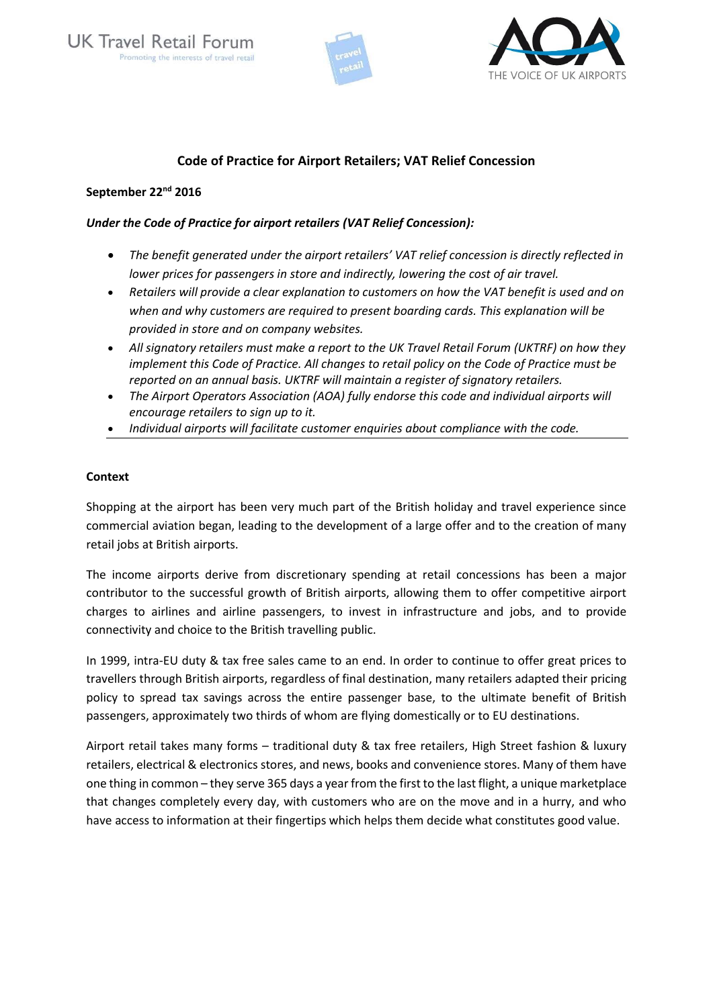



# **Code of Practice for Airport Retailers; VAT Relief Concession**

### **September 22nd 2016**

## *Under the Code of Practice for airport retailers (VAT Relief Concession):*

- *The benefit generated under the airport retailers' VAT relief concession is directly reflected in lower prices for passengers in store and indirectly, lowering the cost of air travel.*
- *Retailers will provide a clear explanation to customers on how the VAT benefit is used and on when and why customers are required to present boarding cards. This explanation will be provided in store and on company websites.*
- *All signatory retailers must make a report to the UK Travel Retail Forum (UKTRF) on how they implement this Code of Practice. All changes to retail policy on the Code of Practice must be reported on an annual basis. UKTRF will maintain a register of signatory retailers.*
- *The Airport Operators Association (AOA) fully endorse this code and individual airports will encourage retailers to sign up to it.*
- *Individual airports will facilitate customer enquiries about compliance with the code.*

### **Context**

Shopping at the airport has been very much part of the British holiday and travel experience since commercial aviation began, leading to the development of a large offer and to the creation of many retail jobs at British airports.

The income airports derive from discretionary spending at retail concessions has been a major contributor to the successful growth of British airports, allowing them to offer competitive airport charges to airlines and airline passengers, to invest in infrastructure and jobs, and to provide connectivity and choice to the British travelling public.

In 1999, intra-EU duty & tax free sales came to an end. In order to continue to offer great prices to travellers through British airports, regardless of final destination, many retailers adapted their pricing policy to spread tax savings across the entire passenger base, to the ultimate benefit of British passengers, approximately two thirds of whom are flying domestically or to EU destinations.

Airport retail takes many forms – traditional duty & tax free retailers, High Street fashion & luxury retailers, electrical & electronics stores, and news, books and convenience stores. Many of them have one thing in common – they serve 365 days a year from the first to the last flight, a unique marketplace that changes completely every day, with customers who are on the move and in a hurry, and who have access to information at their fingertips which helps them decide what constitutes good value.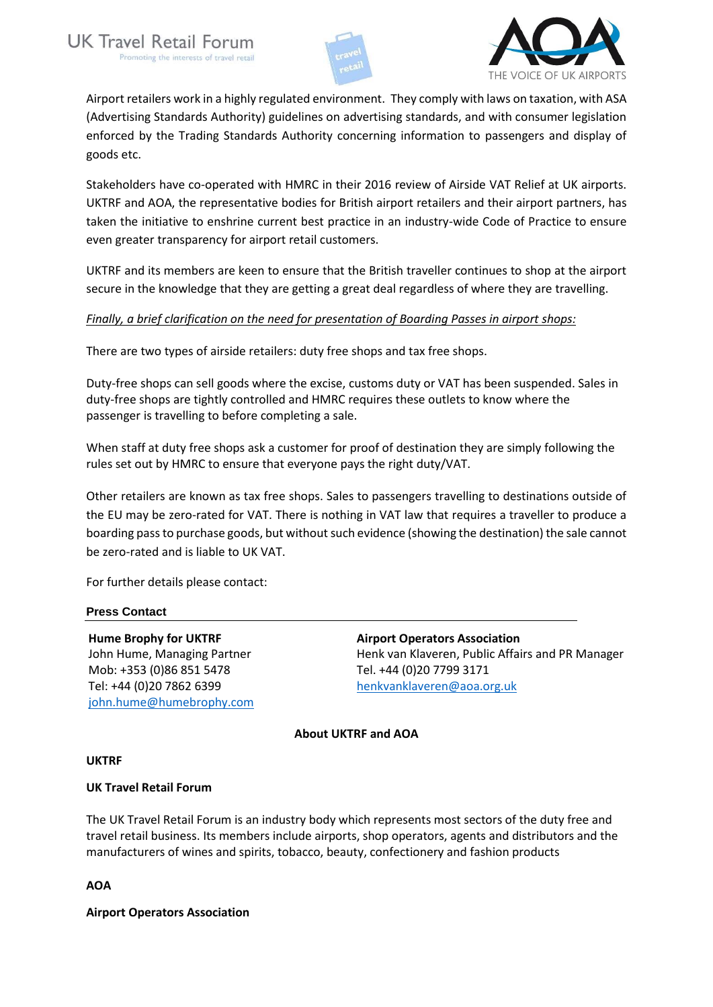



Airport retailers work in a highly regulated environment. They comply with laws on taxation, with ASA (Advertising Standards Authority) guidelines on advertising standards, and with consumer legislation enforced by the Trading Standards Authority concerning information to passengers and display of goods etc.

Stakeholders have co-operated with HMRC in their 2016 review of Airside VAT Relief at UK airports. UKTRF and AOA, the representative bodies for British airport retailers and their airport partners, has taken the initiative to enshrine current best practice in an industry-wide Code of Practice to ensure even greater transparency for airport retail customers.

UKTRF and its members are keen to ensure that the British traveller continues to shop at the airport secure in the knowledge that they are getting a great deal regardless of where they are travelling.

## *Finally, a brief clarification on the need for presentation of Boarding Passes in airport shops:*

There are two types of airside retailers: duty free shops and tax free shops.

Duty-free shops can sell goods where the excise, customs duty or VAT has been suspended. Sales in duty-free shops are tightly controlled and HMRC requires these outlets to know where the passenger is travelling to before completing a sale.

When staff at duty free shops ask a customer for proof of destination they are simply following the rules set out by HMRC to ensure that everyone pays the right duty/VAT.

Other retailers are known as tax free shops. Sales to passengers travelling to destinations outside of the EU may be zero-rated for VAT. There is nothing in VAT law that requires a traveller to produce a boarding pass to purchase goods, but without such evidence (showing the destination) the sale cannot be zero-rated and is liable to UK VAT.

For further details please contact:

### **Press Contact**

**Hume Brophy for UKTRF** John Hume, Managing Partner Mob: +353 (0)86 851 5478 Tel: +44 (0)20 7862 6399 [john.hume@humebrophy.com](mailto:john.hume@humebrophy.com) **Airport Operators Association**  Henk van Klaveren, Public Affairs and PR Manager Tel. +44 (0)20 7799 3171 [henkvanklaveren@aoa.org.uk](mailto:henkvanklaveren@aoa.org.uk)

### **About UKTRF and AOA**

### **UKTRF**

### **UK Travel Retail Forum**

The UK Travel Retail Forum is an industry body which represents most sectors of the duty free and travel retail business. Its members include airports, shop operators, agents and distributors and the manufacturers of wines and spirits, tobacco, beauty, confectionery and fashion products

**AOA**

**Airport Operators Association**